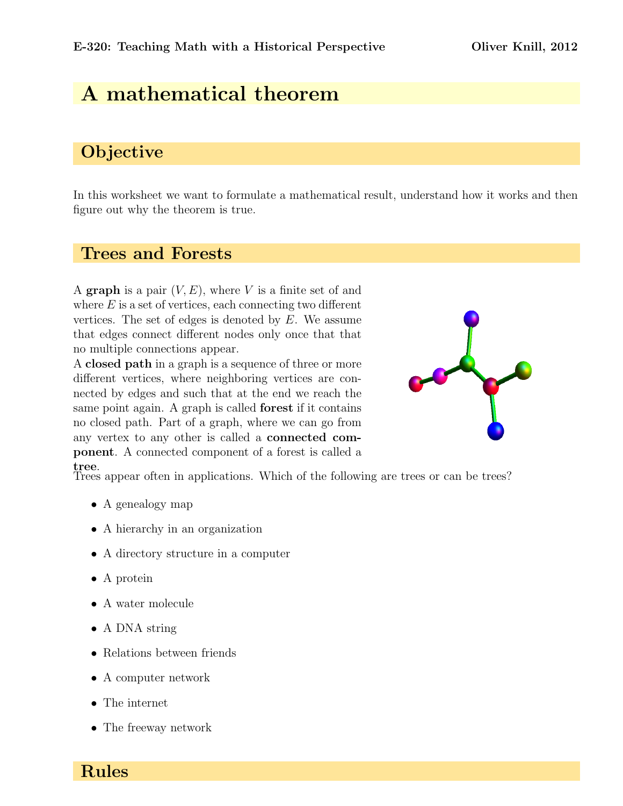# A mathematical theorem

# **Objective**

In this worksheet we want to formulate a mathematical result, understand how it works and then figure out why the theorem is true.

### Trees and Forests

A graph is a pair  $(V, E)$ , where V is a finite set of and where  $E$  is a set of vertices, each connecting two different vertices. The set of edges is denoted by E. We assume that edges connect different nodes only once that that no multiple connections appear.

A closed path in a graph is a sequence of three or more different vertices, where neighboring vertices are connected by edges and such that at the end we reach the same point again. A graph is called forest if it contains no closed path. Part of a graph, where we can go from any vertex to any other is called a connected component. A connected component of a forest is called a



tree. Trees appear often in applications. Which of the following are trees or can be trees?

- A genealogy map
- A hierarchy in an organization
- A directory structure in a computer
- A protein
- A water molecule
- A DNA string
- Relations between friends
- A computer network
- The internet
- The freeway network

Rules